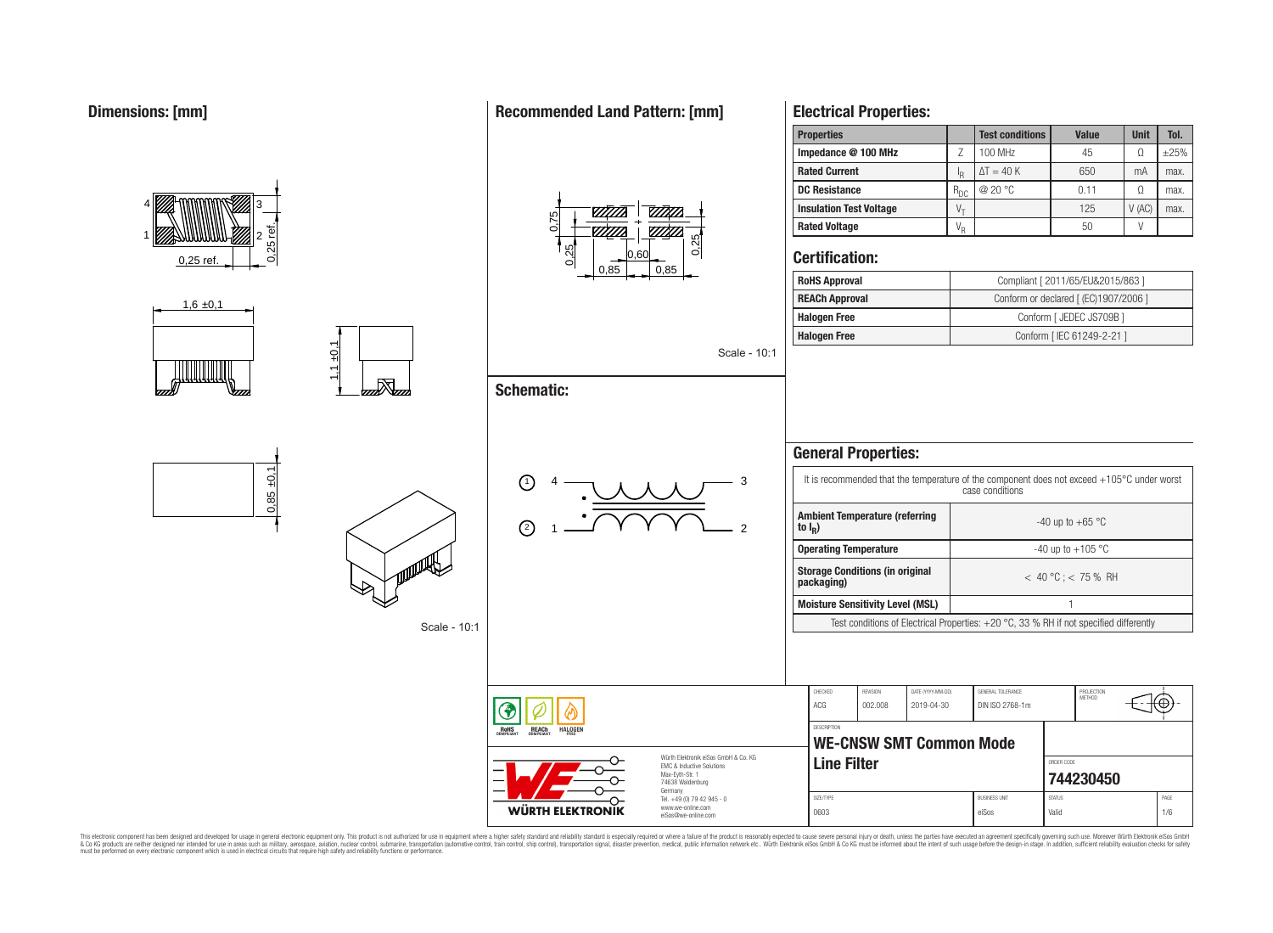

 $1 + 0,1$ 

and San

### **Recommended Land Pattern: [mm]**



# **Electrical Properties:**

| <b>Properties</b>              |            | <b>Test conditions</b> | Value | <b>Unit</b> | Tol.       |
|--------------------------------|------------|------------------------|-------|-------------|------------|
| Impedance @ 100 MHz            |            | 100 MHz                | 45    |             | $\pm 25\%$ |
| <b>Rated Current</b>           | ΙŖ         | $\Delta T = 40 K$      | 650   | mA          | max.       |
| <b>DC Resistance</b>           | $R_{DC}$   | @ 20 °C                | 0.11  |             | max.       |
| <b>Insulation Test Voltage</b> | $V_{\tau}$ |                        | 125   | V(AC)       | max.       |
| <b>Rated Voltage</b>           | $V_R$      |                        | 50    |             |            |
|                                |            |                        |       |             |            |

### **Certification:**

| <b>RoHS Approval</b>  | Compliant [ 2011/65/EU&2015/863 ]     |
|-----------------------|---------------------------------------|
| <b>REACh Approval</b> | Conform or declared [ (EC)1907/2006 ] |
| <b>Halogen Free</b>   | Conform [ JEDEC JS709B ]              |
| <b>Halogen Free</b>   | Conform [ IEC 61249-2-21 ]            |

Scale - 10:1

### **General Properties:** It is recommended that the temperature of the component does not exceed +105°C under worst 1)  $4 \longrightarrow 11 \longrightarrow 3$ case conditions **Ambient Temperature (referring** -40 up to  $+65$  °C 2 **to I<sup>R</sup> ) Operating Temperature discriming Temperature**  $-40 \text{ up to } +105 \text{ °C}$ **Storage Conditions (in original packaging)** < 40 °C ; < 75 % RH **Moisture Sensitivity Level (MSL)** 1 Test conditions of Electrical Properties:  $+20$  °C, 33 % RH if not specified differently CHECKED REVISION DATE (YYYY-MM-DD) GENERAL TOLERANCE PROJECTION<br>METHOD ACG 002.008 2019-04-30 DIN ISO 2768-1m Έ **DESCRIPTION WE-CNSW SMT Common Mode**

**Line Filter CONDER CODE ROOF** 

SIZE/TYPE BUSINESS UNIT STATUS PAGE 0603 eiSos Valid 1/6

**[744230450](https://katalog.we-online.de/en/pbs/WE-CNSW/744230450)**



HALOGEI

**REACh** 

RoH<sub>S</sub>

**Schematic:**

1

2

4

Scale - 10:1

Würth Elektronik eiSos GmbH & Co. KG EMC & Inductive Solutions Max-Eyth-Str. 1 74638 Waldenburg Germany Tel. +49 (0) 79 42 945 - 0 www.we-online.com eiSos@we-online.com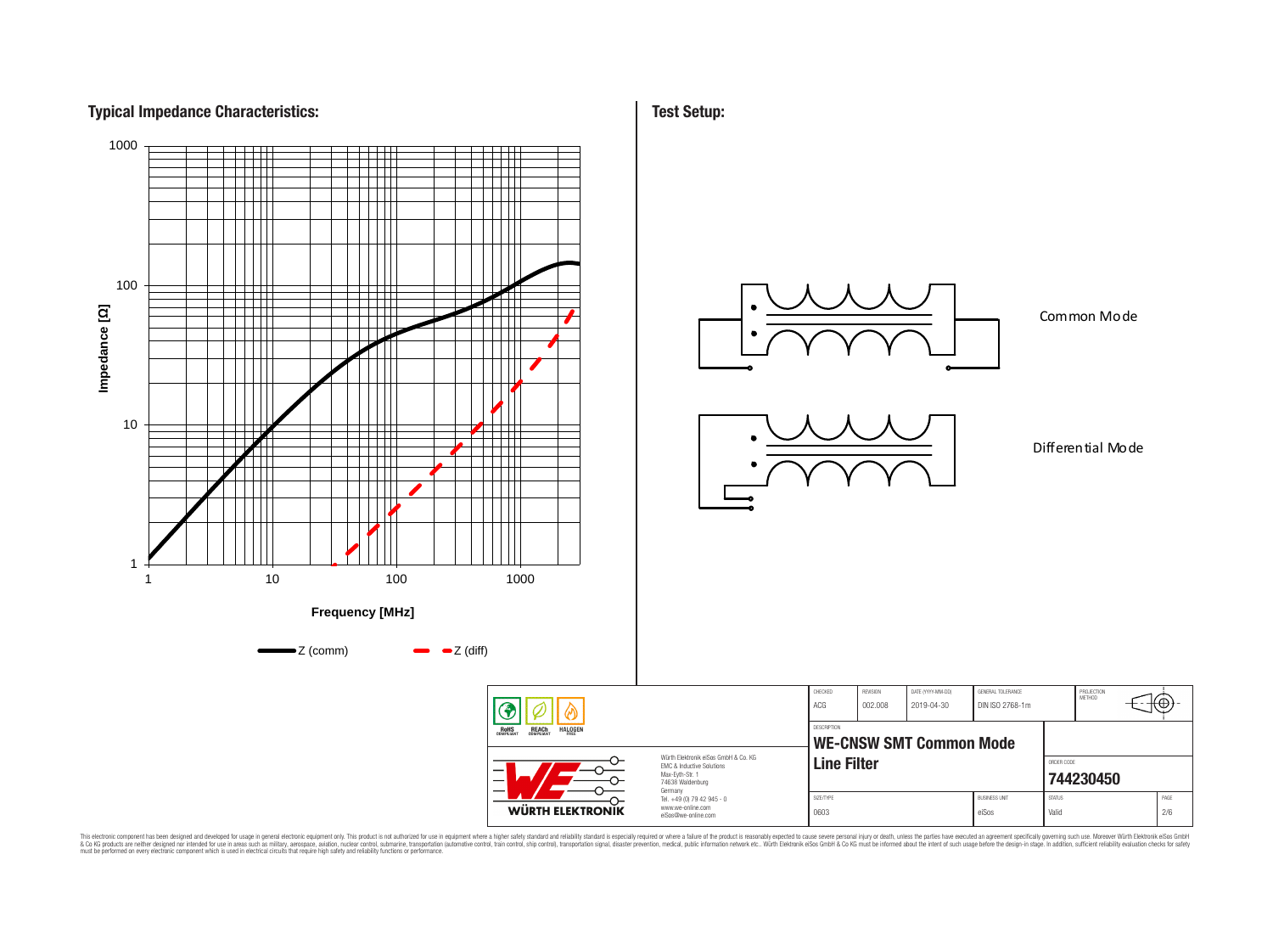# **Typical Impedance Characteristics:**



**Test Setup:**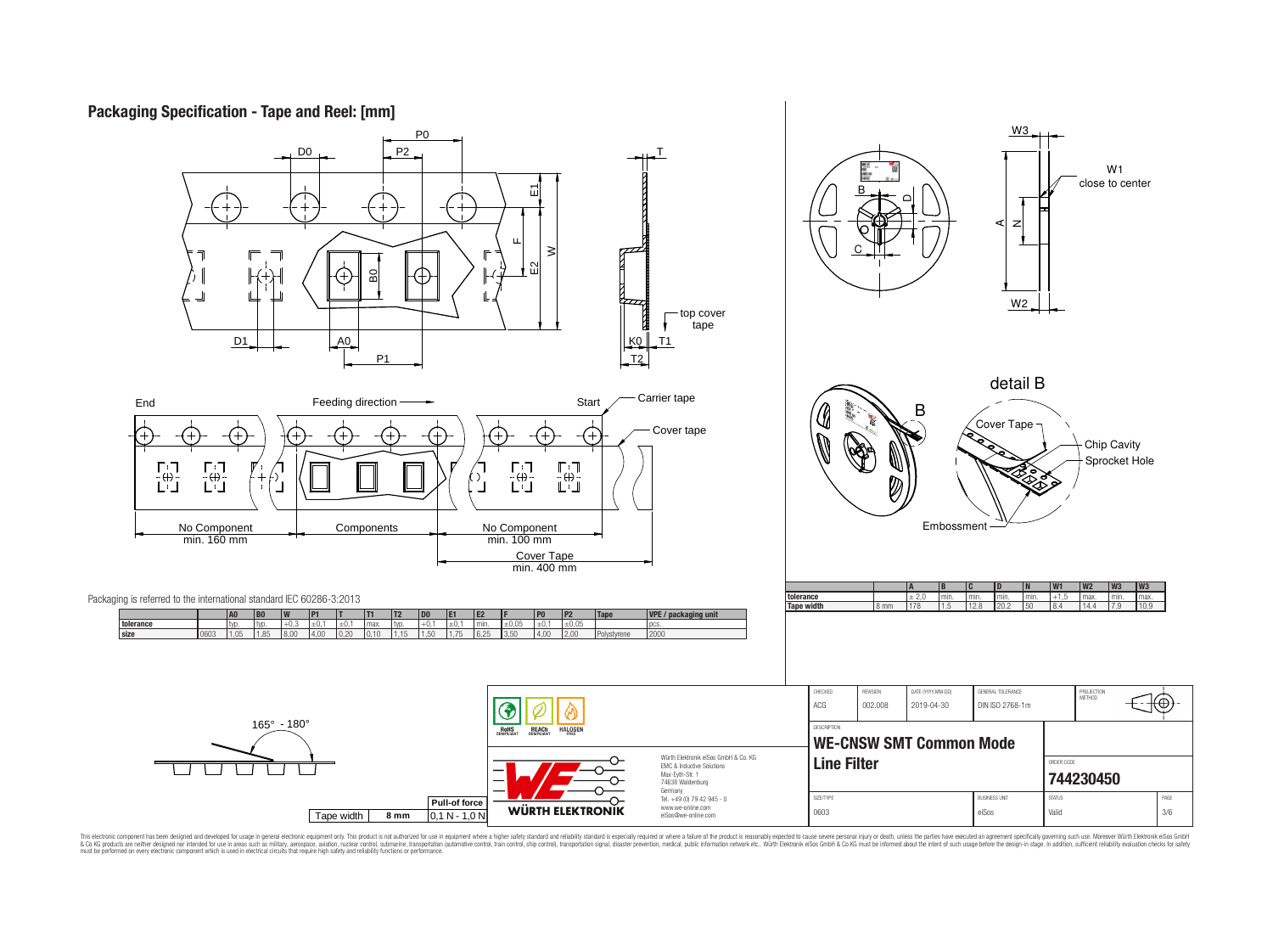## **Packaging Specification - Tape and Reel: [mm]**

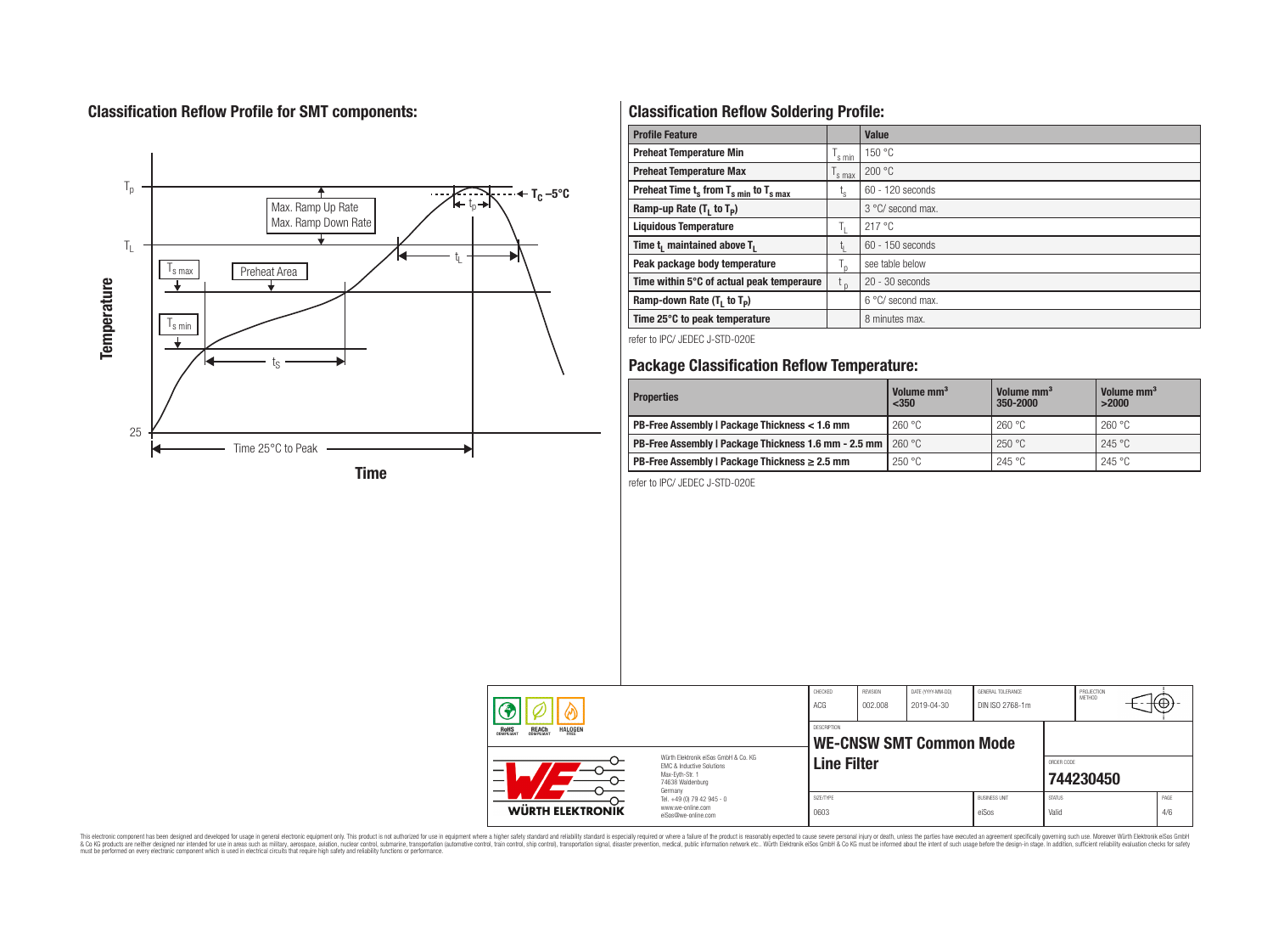# **Classification Reflow Profile for SMT components:**



# **Classification Reflow Soldering Profile:**

| <b>Profile Feature</b>                              |                    | <b>Value</b>      |
|-----------------------------------------------------|--------------------|-------------------|
| <b>Preheat Temperature Min</b>                      | $\mathsf{I}$ s min | 150 °C            |
| <b>Preheat Temperature Max</b>                      | s max              | 200 °C            |
| Preheat Time $t_s$ from $T_{s,min}$ to $T_{s,max}$  | ι <sub>s</sub>     | 60 - 120 seconds  |
| Ramp-up Rate $(T_1$ to $T_p$ )                      |                    | 3 °C/ second max. |
| <b>Liquidous Temperature</b>                        | h.                 | 217 °C            |
| Time t <sub>1</sub> maintained above T <sub>1</sub> | Ţ.                 | 60 - 150 seconds  |
| Peak package body temperature                       | ı,                 | see table below   |
| Time within 5°C of actual peak temperaure           | $t_{p}$            | $20 - 30$ seconds |
| Ramp-down Rate $(T_1$ to $T_p)$                     |                    | 6 °C/ second max. |
| Time 25°C to peak temperature                       |                    | 8 minutes max.    |

refer to IPC/ JEDEC J-STD-020E

### **Package Classification Reflow Temperature:**

| <b>Properties</b>                                                    | Volume mm <sup>3</sup><br>$<$ 350 | Volume mm <sup>3</sup><br>350-2000 | Volume mm <sup>3</sup><br>>2000 |  |  |
|----------------------------------------------------------------------|-----------------------------------|------------------------------------|---------------------------------|--|--|
| PB-Free Assembly   Package Thickness < 1.6 mm                        | 260 °C                            | 260 °C                             | 260 °C                          |  |  |
| <b>PB-Free Assembly   Package Thickness 1.6 mm - 2.5 mm   260 °C</b> |                                   | 250 °C                             | 245 °C                          |  |  |
| PB-Free Assembly   Package Thickness $\geq 2.5$ mm                   | 250 °C                            | 245 °C                             | 245 °C                          |  |  |

refer to IPC/ JEDEC J-STD-020E

|                                                                                                                          |                                                                        | CHECKED<br>ACG                                | REVISION<br>002.008 | DATE (YYYY-MM-DD)<br>2019-04-30 | GENERAL TOLERANCE<br>DIN ISO 2768-1m |                        | PROJECTION<br>METHOD |             |
|--------------------------------------------------------------------------------------------------------------------------|------------------------------------------------------------------------|-----------------------------------------------|---------------------|---------------------------------|--------------------------------------|------------------------|----------------------|-------------|
| <b>REACH</b><br>COMPLIANT<br><b>HALOGEN</b><br><b>ROHS</b><br>COMPLIANT                                                  |                                                                        | DESCRIPTION<br><b>WE-CNSW SMT Common Mode</b> |                     |                                 |                                      |                        |                      |             |
| Würth Flektronik eiSos GmbH & Co. KG<br>EMC & Inductive Solutions<br>–<br>Max-Evth-Str. 1<br>74638 Waldenburg<br>Germany |                                                                        | <b>Line Filter</b>                            |                     |                                 |                                      | ORDER CODE             | 744230450            |             |
| WÜRTH ELEKTRONIK                                                                                                         | Tel. +49 (0) 79 42 945 - 0<br>www.we-online.com<br>eiSos@we-online.com | SIZE/TYPE<br>0603                             |                     |                                 | <b>BUSINESS UNIT</b><br>eiSos        | <b>STATUS</b><br>Valid |                      | PAGE<br>4/6 |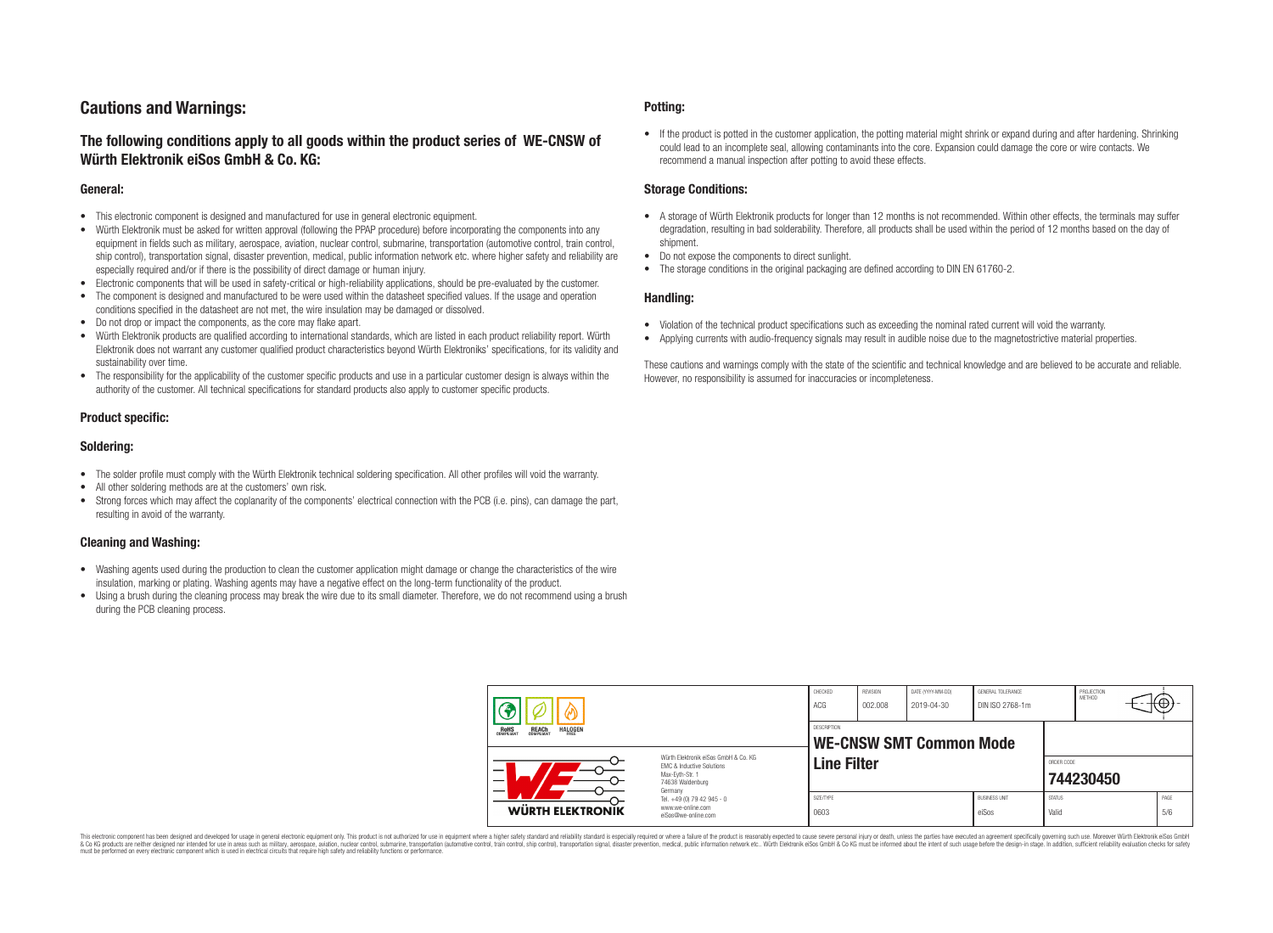### **Cautions and Warnings:**

### **The following conditions apply to all goods within the product series of WE-CNSW of Würth Elektronik eiSos GmbH & Co. KG:**

#### **General:**

- This electronic component is designed and manufactured for use in general electronic equipment.
- Würth Elektronik must be asked for written approval (following the PPAP procedure) before incorporating the components into any equipment in fields such as military, aerospace, aviation, nuclear control, submarine, transportation (automotive control, train control, ship control), transportation signal, disaster prevention, medical, public information network etc. where higher safety and reliability are especially required and/or if there is the possibility of direct damage or human injury.
- Electronic components that will be used in safety-critical or high-reliability applications, should be pre-evaluated by the customer.
- The component is designed and manufactured to be were used within the datasheet specified values. If the usage and operation conditions specified in the datasheet are not met, the wire insulation may be damaged or dissolved.
- Do not drop or impact the components, as the core may flake apart.
- Würth Elektronik products are qualified according to international standards, which are listed in each product reliability report. Würth Elektronik does not warrant any customer qualified product characteristics beyond Würth Elektroniks' specifications, for its validity and sustainability over time.
- The responsibility for the applicability of the customer specific products and use in a particular customer design is always within the authority of the customer. All technical specifications for standard products also apply to customer specific products.

#### **Product specific:**

#### **Soldering:**

- The solder profile must comply with the Würth Elektronik technical soldering specification. All other profiles will void the warranty.
- All other soldering methods are at the customers' own risk.
- Strong forces which may affect the coplanarity of the components' electrical connection with the PCB (i.e. pins), can damage the part, resulting in avoid of the warranty.

#### **Cleaning and Washing:**

- Washing agents used during the production to clean the customer application might damage or change the characteristics of the wire insulation, marking or plating. Washing agents may have a negative effect on the long-term functionality of the product.
- Using a brush during the cleaning process may break the wire due to its small diameter. Therefore, we do not recommend using a brush during the PCB cleaning process.

#### **Potting:**

• If the product is potted in the customer application, the potting material might shrink or expand during and after hardening. Shrinking could lead to an incomplete seal, allowing contaminants into the core. Expansion could damage the core or wire contacts. We recommend a manual inspection after potting to avoid these effects.

#### **Storage Conditions:**

- A storage of Würth Elektronik products for longer than 12 months is not recommended. Within other effects, the terminals may suffer degradation, resulting in bad solderability. Therefore, all products shall be used within the period of 12 months based on the day of shipment.
- Do not expose the components to direct sunlight.
- The storage conditions in the original packaging are defined according to DIN EN 61760-2.

#### **Handling:**

- Violation of the technical product specifications such as exceeding the nominal rated current will void the warranty.
- Applying currents with audio-frequency signals may result in audible noise due to the magnetostrictive material properties.

These cautions and warnings comply with the state of the scientific and technical knowledge and are believed to be accurate and reliable. However, no responsibility is assumed for inaccuracies or incompleteness.

|                                                                                                               |                                                                                   | CHECKED<br>ACG     | REVISION<br>002.008 | DATE (YYYY-MM-DD)<br>2019-04-30 | GENERAL TOLERANCE<br>DIN ISO 2768-1m |                        | PROJECTION<br><b>METHOD</b> | ᠇ᡕ᠊ᡋ᠍       |
|---------------------------------------------------------------------------------------------------------------|-----------------------------------------------------------------------------------|--------------------|---------------------|---------------------------------|--------------------------------------|------------------------|-----------------------------|-------------|
| <b>HALOGEN</b><br>REACH<br>COMPLIANT<br>ROHS<br>COMPLIANT                                                     |                                                                                   | DESCRIPTION        |                     | <b>WE-CNSW SMT Common Mode</b>  |                                      |                        |                             |             |
| Würth Flektronik eiSos GmbH & Co. KG<br>EMC & Inductive Solutions<br>–<br>Max-Evth-Str. 1<br>74638 Waldenburg |                                                                                   | <b>Line Filter</b> |                     |                                 |                                      | ORDER CODE             | 744230450                   |             |
| WÜRTH ELEKTRONIK                                                                                              | Germany<br>Tel. +49 (0) 79 42 945 - 0<br>www.we-online.com<br>eiSos@we-online.com | SIZE/TYPE<br>0603  |                     |                                 | <b>BUSINESS UNIT</b><br>eiSos        | <b>STATUS</b><br>Valid |                             | PAGE<br>5/6 |

This electronic component has been designed and developed for usage in general electronic equipment only. This product is not authorized for use in equipment where a higher safety standard and reliability standard si espec & Ook product a label and the membed of the seasuch as marked and as which such a membed and the such assume that income in the seasuch and the simulation and the such assume that include to the such a membed and the such